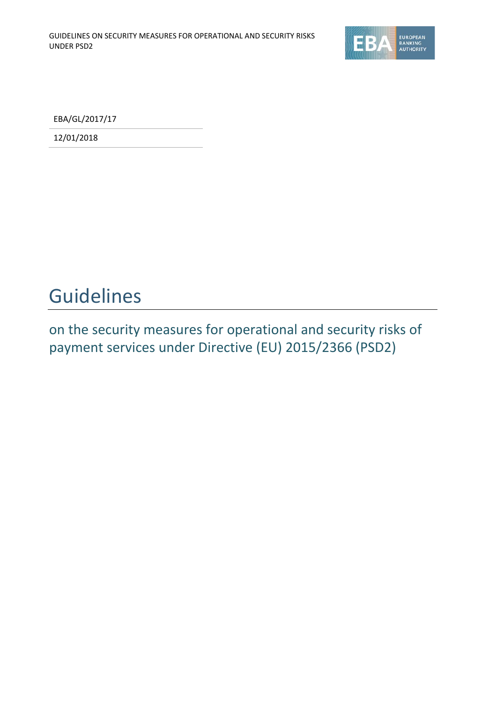

EBA/GL/2017/17

12/01/2018

## Guidelines

on the security measures for operational and security risks of payment services under Directive (EU) 2015/2366 (PSD2)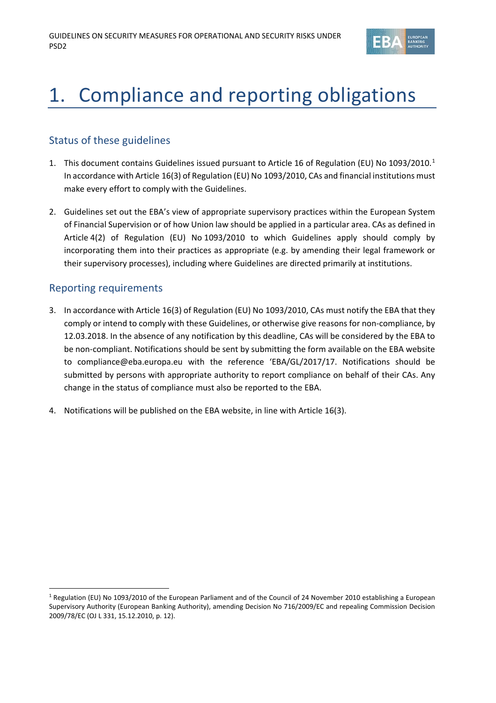

# 1. Compliance and reporting obligations

## Status of these guidelines

- [1](#page-1-0). This document contains Guidelines issued pursuant to Article 16 of Regulation (EU) No 1093/2010.<sup>1</sup> In accordance with Article 16(3) of Regulation (EU) No 1093/2010, CAs and financial institutions must make every effort to comply with the Guidelines.
- 2. Guidelines set out the EBA's view of appropriate supervisory practices within the European System of Financial Supervision or of how Union law should be applied in a particular area. CAs as defined in Article 4(2) of Regulation (EU) No 1093/2010 to which Guidelines apply should comply by incorporating them into their practices as appropriate (e.g. by amending their legal framework or their supervisory processes), including where Guidelines are directed primarily at institutions.

## Reporting requirements

- 3. In accordance with Article 16(3) of Regulation (EU) No 1093/2010, CAs must notify the EBA that they comply or intend to comply with these Guidelines, or otherwise give reasons for non-compliance, by 12.03.2018. In the absence of any notification by this deadline, CAs will be considered by the EBA to be non-compliant. Notifications should be sent by submitting the form available on the EBA website to [compliance@eba.europa.eu](mailto:compliance@eba.europa.eu) with the reference 'EBA/GL/2017/17. Notifications should be submitted by persons with appropriate authority to report compliance on behalf of their CAs. Any change in the status of compliance must also be reported to the EBA.
- 4. Notifications will be published on the EBA website, in line with Article 16(3).

<span id="page-1-0"></span> <sup>1</sup> Regulation (EU) No 1093/2010 of the European Parliament and of the Council of 24 November 2010 establishing a European Supervisory Authority (European Banking Authority), amending Decision No 716/2009/EC and repealing Commission Decision 2009/78/EC (OJ L 331, 15.12.2010, p. 12).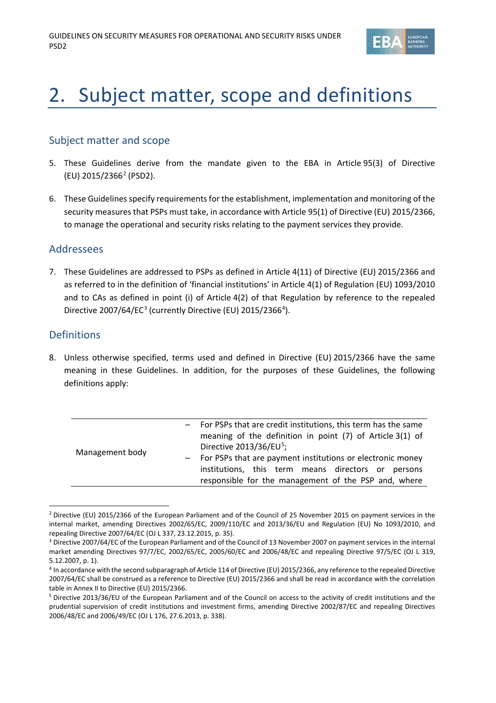

# 2. Subject matter, scope and definitions

## Subject matter and scope

- 5. These Guidelines derive from the mandate given to the EBA in Article 95(3) of Directive (EU) 2015/2366[2](#page-2-0) (PSD2).
- 6. These Guidelines specify requirements for the establishment, implementation and monitoring of the security measures that PSPs must take, in accordance with Article 95(1) of Directive (EU) 2015/2366, to manage the operational and security risks relating to the payment services they provide.

## Addressees

7. These Guidelines are addressed to PSPs as defined in Article 4(11) of Directive (EU) 2015/2366 and as referred to in the definition of 'financial institutions' in Article 4(1) of Regulation (EU) 1093/2010 and to CAs as defined in point (i) of Article 4(2) of that Regulation by reference to the repealed Directive 2007/64/EC<sup>[3](#page-2-1)</sup> (currently Directive (EU) 2015/2366<sup>[4](#page-2-2)</sup>).

## Definitions

8. Unless otherwise specified, terms used and defined in Directive (EU) 2015/2366 have the same meaning in these Guidelines. In addition, for the purposes of these Guidelines, the following definitions apply:

| Management body | - For PSPs that are credit institutions, this term has the same<br>meaning of the definition in point (7) of Article 3(1) of<br>Directive 2013/36/EU <sup>5</sup> ;<br>- For PSPs that are payment institutions or electronic money<br>institutions, this term means directors or persons<br>responsible for the management of the PSP and, where |
|-----------------|---------------------------------------------------------------------------------------------------------------------------------------------------------------------------------------------------------------------------------------------------------------------------------------------------------------------------------------------------|
|                 |                                                                                                                                                                                                                                                                                                                                                   |

<span id="page-2-0"></span><sup>&</sup>lt;sup>2</sup> Directive (EU) 2015/2366 of the European Parliament and of the Council of 25 November 2015 on payment services in the internal market, amending Directives 2002/65/EC, 2009/110/EC and 2013/36/EU and Regulation (EU) No 1093/2010, and repealing Directive 2007/64/EC (OJ L 337, 23.12.2015, p. 35).

<span id="page-2-1"></span><sup>&</sup>lt;sup>3</sup> Directive 2007/64/EC of the European Parliament and of the Council of 13 November 2007 on payment services in the internal market amending Directives 97/7/EC, 2002/65/EC, 2005/60/EC and 2006/48/EC and repealing Directive 97/5/EC (OJ L 319, 5.12.2007, p. 1).

<span id="page-2-2"></span><sup>4</sup> In accordance with the second subparagraph of Article 114 of Directive (EU) 2015/2366, any reference to the repealed Directive 2007/64/EC shall be construed as a reference to Directive (EU) 2015/2366 and shall be read in accordance with the correlation table in Annex II to Directive (EU) 2015/2366.

<span id="page-2-3"></span><sup>5</sup> Directive 2013/36/EU of the European Parliament and of the Council on access to the activity of credit institutions and the prudential supervision of credit institutions and investment firms, amending Directive 2002/87/EC and repealing Directives 2006/48/EC and 2006/49/EC (OJ L 176, 27.6.2013, p. 338).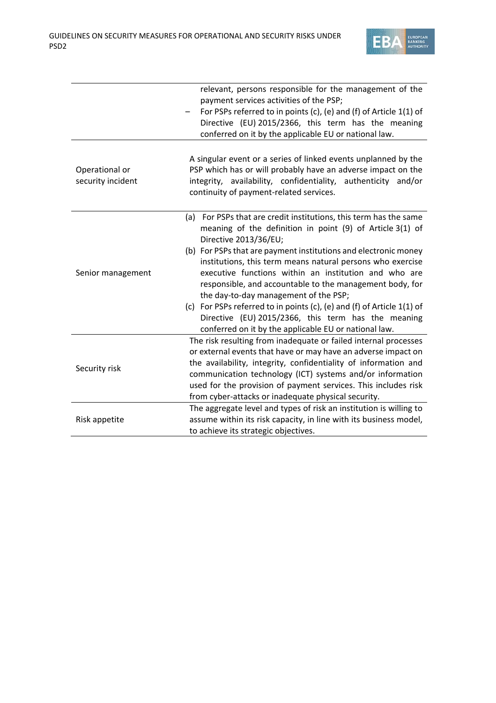

|                                     | relevant, persons responsible for the management of the<br>payment services activities of the PSP;<br>For PSPs referred to in points (c), (e) and (f) of Article 1(1) of<br>Directive (EU) 2015/2366, this term has the meaning<br>conferred on it by the applicable EU or national law.                                                                                                                                                                                                                                                                                                                                                         |  |
|-------------------------------------|--------------------------------------------------------------------------------------------------------------------------------------------------------------------------------------------------------------------------------------------------------------------------------------------------------------------------------------------------------------------------------------------------------------------------------------------------------------------------------------------------------------------------------------------------------------------------------------------------------------------------------------------------|--|
| Operational or<br>security incident | A singular event or a series of linked events unplanned by the<br>PSP which has or will probably have an adverse impact on the<br>integrity, availability, confidentiality, authenticity and/or<br>continuity of payment-related services.                                                                                                                                                                                                                                                                                                                                                                                                       |  |
| Senior management                   | (a) For PSPs that are credit institutions, this term has the same<br>meaning of the definition in point (9) of Article 3(1) of<br>Directive 2013/36/EU;<br>(b) For PSPs that are payment institutions and electronic money<br>institutions, this term means natural persons who exercise<br>executive functions within an institution and who are<br>responsible, and accountable to the management body, for<br>the day-to-day management of the PSP;<br>(c) For PSPs referred to in points (c), (e) and (f) of Article 1(1) of<br>Directive (EU) 2015/2366, this term has the meaning<br>conferred on it by the applicable EU or national law. |  |
| Security risk                       | The risk resulting from inadequate or failed internal processes<br>or external events that have or may have an adverse impact on<br>the availability, integrity, confidentiality of information and<br>communication technology (ICT) systems and/or information<br>used for the provision of payment services. This includes risk<br>from cyber-attacks or inadequate physical security.                                                                                                                                                                                                                                                        |  |
| Risk appetite                       | The aggregate level and types of risk an institution is willing to<br>assume within its risk capacity, in line with its business model,<br>to achieve its strategic objectives.                                                                                                                                                                                                                                                                                                                                                                                                                                                                  |  |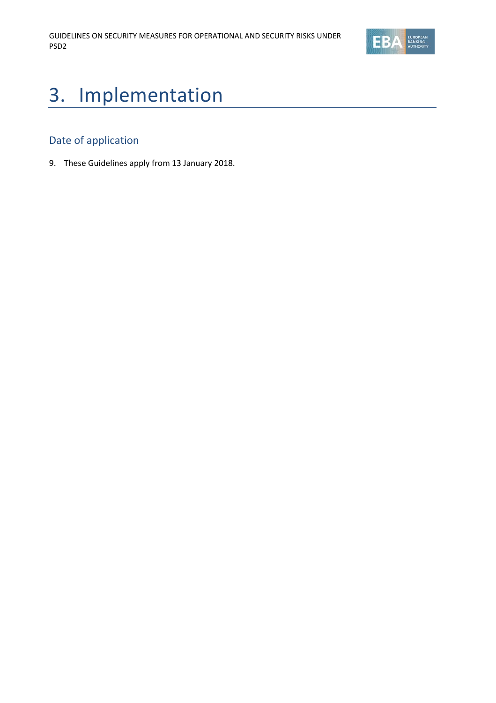

# 3. Implementation

## Date of application

9. These Guidelines apply from 13 January 2018.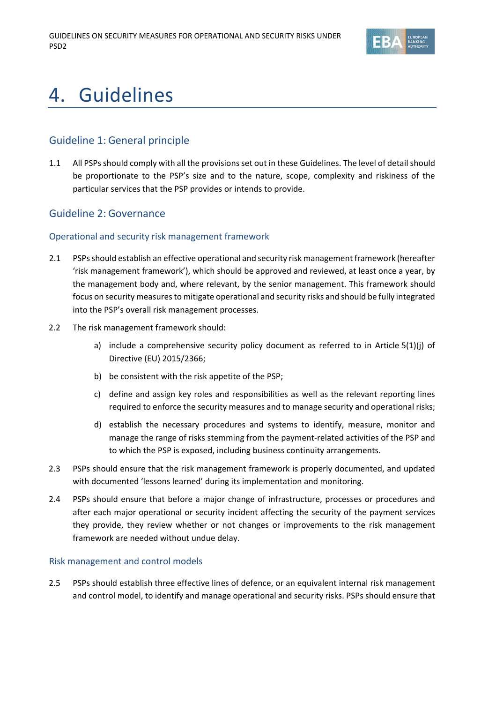

## 4. Guidelines

## Guideline 1: General principle

1.1 All PSPs should comply with all the provisions set out in these Guidelines. The level of detail should be proportionate to the PSP's size and to the nature, scope, complexity and riskiness of the particular services that the PSP provides or intends to provide.

## Guideline 2: Governance

### Operational and security risk management framework

- 2.1 PSPsshould establish an effective operational and security risk management framework (hereafter 'risk management framework'), which should be approved and reviewed, at least once a year, by the management body and, where relevant, by the senior management. This framework should focus on security measures to mitigate operational and security risks and should be fully integrated into the PSP's overall risk management processes.
- 2.2 The risk management framework should:
	- a) include a comprehensive security policy document as referred to in Article 5(1)(j) of Directive (EU) 2015/2366;
	- b) be consistent with the risk appetite of the PSP;
	- c) define and assign key roles and responsibilities as well as the relevant reporting lines required to enforce the security measures and to manage security and operational risks;
	- d) establish the necessary procedures and systems to identify, measure, monitor and manage the range of risks stemming from the payment-related activities of the PSP and to which the PSP is exposed, including business continuity arrangements.
- 2.3 PSPs should ensure that the risk management framework is properly documented, and updated with documented 'lessons learned' during its implementation and monitoring.
- 2.4 PSPs should ensure that before a major change of infrastructure, processes or procedures and after each major operational or security incident affecting the security of the payment services they provide, they review whether or not changes or improvements to the risk management framework are needed without undue delay.

#### Risk management and control models

2.5 PSPs should establish three effective lines of defence, or an equivalent internal risk management and control model, to identify and manage operational and security risks. PSPs should ensure that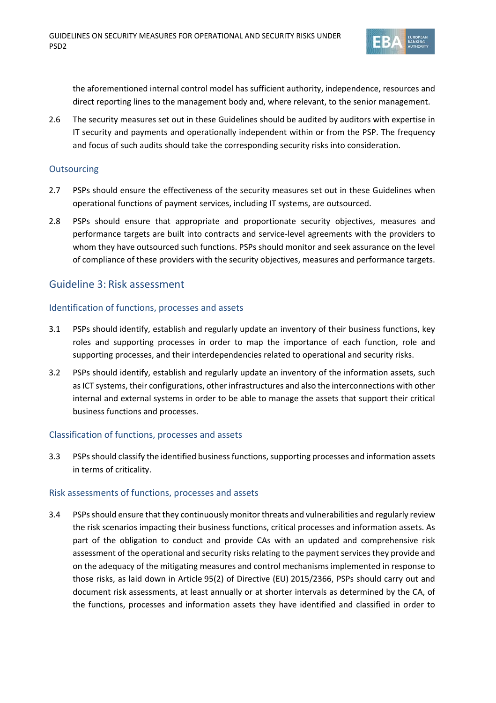

the aforementioned internal control model has sufficient authority, independence, resources and direct reporting lines to the management body and, where relevant, to the senior management.

2.6 The security measures set out in these Guidelines should be audited by auditors with expertise in IT security and payments and operationally independent within or from the PSP. The frequency and focus of such audits should take the corresponding security risks into consideration.

#### **Outsourcing**

- 2.7 PSPs should ensure the effectiveness of the security measures set out in these Guidelines when operational functions of payment services, including IT systems, are outsourced.
- 2.8 PSPs should ensure that appropriate and proportionate security objectives, measures and performance targets are built into contracts and service-level agreements with the providers to whom they have outsourced such functions. PSPs should monitor and seek assurance on the level of compliance of these providers with the security objectives, measures and performance targets.

## Guideline 3: Risk assessment

#### Identification of functions, processes and assets

- 3.1 PSPs should identify, establish and regularly update an inventory of their business functions, key roles and supporting processes in order to map the importance of each function, role and supporting processes, and their interdependencies related to operational and security risks.
- 3.2 PSPs should identify, establish and regularly update an inventory of the information assets, such as ICT systems, their configurations, other infrastructures and also the interconnections with other internal and external systems in order to be able to manage the assets that support their critical business functions and processes.

#### Classification of functions, processes and assets

3.3 PSPs should classify the identified business functions, supporting processes and information assets in terms of criticality.

#### Risk assessments of functions, processes and assets

3.4 PSPsshould ensure that they continuously monitor threats and vulnerabilities and regularly review the risk scenarios impacting their business functions, critical processes and information assets. As part of the obligation to conduct and provide CAs with an updated and comprehensive risk assessment of the operational and security risks relating to the payment services they provide and on the adequacy of the mitigating measures and control mechanisms implemented in response to those risks, as laid down in Article 95(2) of Directive (EU) 2015/2366, PSPs should carry out and document risk assessments, at least annually or at shorter intervals as determined by the CA, of the functions, processes and information assets they have identified and classified in order to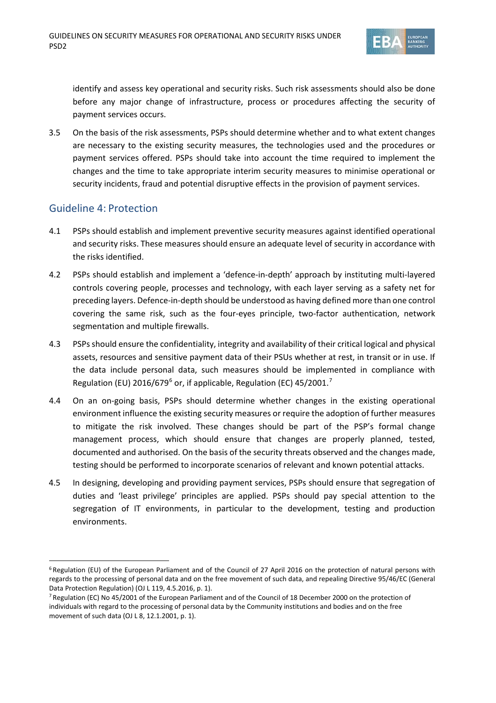

identify and assess key operational and security risks. Such risk assessments should also be done before any major change of infrastructure, process or procedures affecting the security of payment services occurs.

3.5 On the basis of the risk assessments, PSPs should determine whether and to what extent changes are necessary to the existing security measures, the technologies used and the procedures or payment services offered. PSPs should take into account the time required to implement the changes and the time to take appropriate interim security measures to minimise operational or security incidents, fraud and potential disruptive effects in the provision of payment services.

## Guideline 4: Protection

- 4.1 PSPs should establish and implement preventive security measures against identified operational and security risks. These measures should ensure an adequate level of security in accordance with the risks identified.
- 4.2 PSPs should establish and implement a 'defence-in-depth' approach by instituting multi-layered controls covering people, processes and technology, with each layer serving as a safety net for preceding layers. Defence-in-depth should be understood as having defined more than one control covering the same risk, such as the four-eyes principle, two-factor authentication, network segmentation and multiple firewalls.
- 4.3 PSPsshould ensure the confidentiality, integrity and availability of their critical logical and physical assets, resources and sensitive payment data of their PSUs whether at rest, in transit or in use. If the data include personal data, such measures should be implemented in compliance with Regulation (EU) 201[6](#page-7-0)/6[7](#page-7-1)9<sup>6</sup> or, if applicable, Regulation (EC) 45/2001.<sup>7</sup>
- 4.4 On an on-going basis, PSPs should determine whether changes in the existing operational environment influence the existing security measures or require the adoption of further measures to mitigate the risk involved. These changes should be part of the PSP's formal change management process, which should ensure that changes are properly planned, tested, documented and authorised. On the basis of the security threats observed and the changes made, testing should be performed to incorporate scenarios of relevant and known potential attacks.
- 4.5 In designing, developing and providing payment services, PSPs should ensure that segregation of duties and 'least privilege' principles are applied. PSPs should pay special attention to the segregation of IT environments, in particular to the development, testing and production environments.

<span id="page-7-0"></span> <sup>6</sup> Regulation (EU) of the European Parliament and of the Council of 27 April 2016 on the protection of natural persons with regards to the processing of personal data and on the free movement of such data, and repealing Directive 95/46/EC (General Data Protection Regulation) (OJ L 119, 4.5.2016, p. 1).

<span id="page-7-1"></span><sup>7</sup> Regulation (EC) No 45/2001 of the European Parliament and of the Council of 18 December 2000 on the protection of individuals with regard to the processing of personal data by the Community institutions and bodies and on the free movement of such data (OJ L 8, 12.1.2001, p. 1).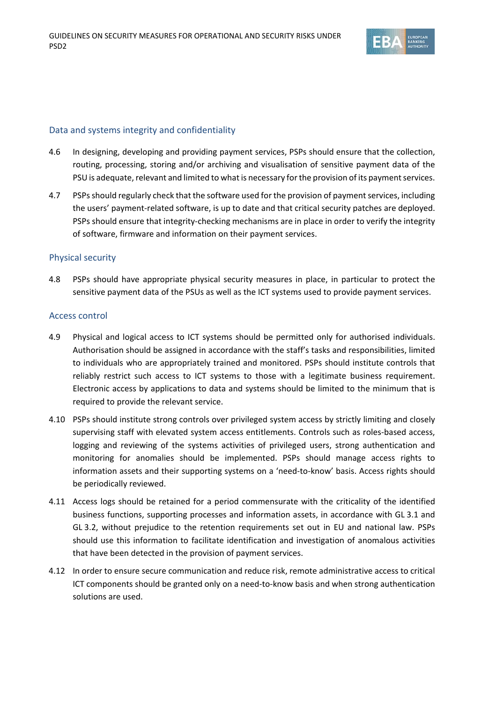

### Data and systems integrity and confidentiality

- 4.6 In designing, developing and providing payment services, PSPs should ensure that the collection, routing, processing, storing and/or archiving and visualisation of sensitive payment data of the PSU is adequate, relevant and limited to what is necessary for the provision of its payment services.
- 4.7 PSPs should regularly check that the software used for the provision of payment services, including the users' payment-related software, is up to date and that critical security patches are deployed. PSPs should ensure that integrity-checking mechanisms are in place in order to verify the integrity of software, firmware and information on their payment services.

### Physical security

4.8 PSPs should have appropriate physical security measures in place, in particular to protect the sensitive payment data of the PSUs as well as the ICT systems used to provide payment services.

#### Access control

- 4.9 Physical and logical access to ICT systems should be permitted only for authorised individuals. Authorisation should be assigned in accordance with the staff's tasks and responsibilities, limited to individuals who are appropriately trained and monitored. PSPs should institute controls that reliably restrict such access to ICT systems to those with a legitimate business requirement. Electronic access by applications to data and systems should be limited to the minimum that is required to provide the relevant service.
- 4.10 PSPs should institute strong controls over privileged system access by strictly limiting and closely supervising staff with elevated system access entitlements. Controls such as roles-based access, logging and reviewing of the systems activities of privileged users, strong authentication and monitoring for anomalies should be implemented. PSPs should manage access rights to information assets and their supporting systems on a 'need-to-know' basis. Access rights should be periodically reviewed.
- 4.11 Access logs should be retained for a period commensurate with the criticality of the identified business functions, supporting processes and information assets, in accordance with GL 3.1 and GL 3.2, without prejudice to the retention requirements set out in EU and national law. PSPs should use this information to facilitate identification and investigation of anomalous activities that have been detected in the provision of payment services.
- 4.12 In order to ensure secure communication and reduce risk, remote administrative access to critical ICT components should be granted only on a need-to-know basis and when strong authentication solutions are used.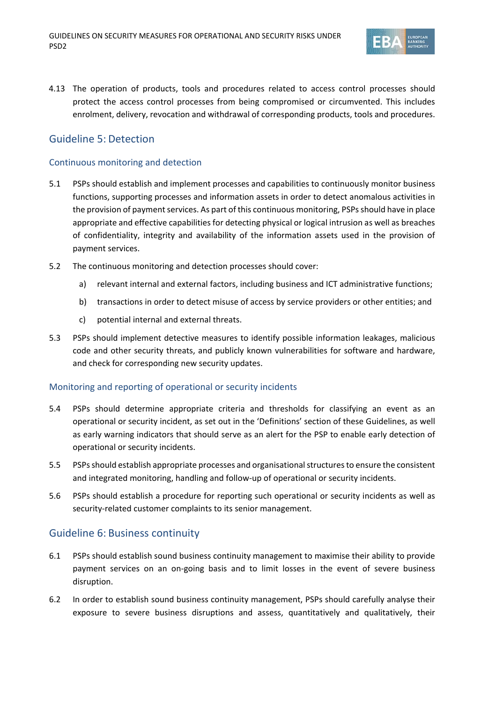

4.13 The operation of products, tools and procedures related to access control processes should protect the access control processes from being compromised or circumvented. This includes enrolment, delivery, revocation and withdrawal of corresponding products, tools and procedures.

## Guideline 5: Detection

#### Continuous monitoring and detection

- 5.1 PSPs should establish and implement processes and capabilities to continuously monitor business functions, supporting processes and information assets in order to detect anomalous activities in the provision of payment services. As part of this continuous monitoring, PSPs should have in place appropriate and effective capabilities for detecting physical or logical intrusion as well as breaches of confidentiality, integrity and availability of the information assets used in the provision of payment services.
- 5.2 The continuous monitoring and detection processes should cover:
	- a) relevant internal and external factors, including business and ICT administrative functions;
	- b) transactions in order to detect misuse of access by service providers or other entities; and
	- c) potential internal and external threats.
- 5.3 PSPs should implement detective measures to identify possible information leakages, malicious code and other security threats, and publicly known vulnerabilities for software and hardware, and check for corresponding new security updates.

### Monitoring and reporting of operational or security incidents

- 5.4 PSPs should determine appropriate criteria and thresholds for classifying an event as an operational or security incident, as set out in the 'Definitions' section of these Guidelines, as well as early warning indicators that should serve as an alert for the PSP to enable early detection of operational or security incidents.
- 5.5 PSPsshould establish appropriate processes and organisational structures to ensure the consistent and integrated monitoring, handling and follow-up of operational or security incidents.
- 5.6 PSPs should establish a procedure for reporting such operational or security incidents as well as security-related customer complaints to its senior management.

## Guideline 6: Business continuity

- 6.1 PSPs should establish sound business continuity management to maximise their ability to provide payment services on an on-going basis and to limit losses in the event of severe business disruption.
- 6.2 In order to establish sound business continuity management, PSPs should carefully analyse their exposure to severe business disruptions and assess, quantitatively and qualitatively, their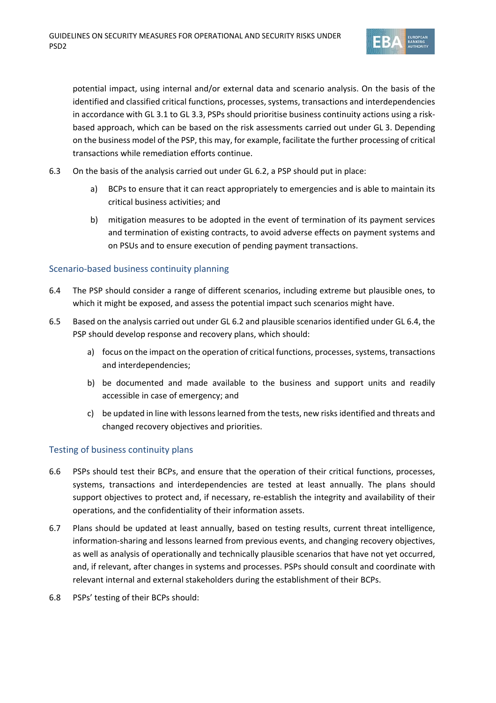

potential impact, using internal and/or external data and scenario analysis. On the basis of the identified and classified critical functions, processes, systems, transactions and interdependencies in accordance with GL 3.1 to GL 3.3, PSPs should prioritise business continuity actions using a riskbased approach, which can be based on the risk assessments carried out under GL 3. Depending on the business model of the PSP, this may, for example, facilitate the further processing of critical transactions while remediation efforts continue.

- 6.3 On the basis of the analysis carried out under GL 6.2, a PSP should put in place:
	- a) BCPs to ensure that it can react appropriately to emergencies and is able to maintain its critical business activities; and
	- b) mitigation measures to be adopted in the event of termination of its payment services and termination of existing contracts, to avoid adverse effects on payment systems and on PSUs and to ensure execution of pending payment transactions.

### Scenario-based business continuity planning

- 6.4 The PSP should consider a range of different scenarios, including extreme but plausible ones, to which it might be exposed, and assess the potential impact such scenarios might have.
- 6.5 Based on the analysis carried out under GL 6.2 and plausible scenarios identified under GL 6.4, the PSP should develop response and recovery plans, which should:
	- a) focus on the impact on the operation of critical functions, processes, systems, transactions and interdependencies;
	- b) be documented and made available to the business and support units and readily accessible in case of emergency; and
	- c) be updated in line with lessons learned from the tests, new risks identified and threats and changed recovery objectives and priorities.

### Testing of business continuity plans

- 6.6 PSPs should test their BCPs, and ensure that the operation of their critical functions, processes, systems, transactions and interdependencies are tested at least annually. The plans should support objectives to protect and, if necessary, re-establish the integrity and availability of their operations, and the confidentiality of their information assets.
- 6.7 Plans should be updated at least annually, based on testing results, current threat intelligence, information-sharing and lessons learned from previous events, and changing recovery objectives, as well as analysis of operationally and technically plausible scenarios that have not yet occurred, and, if relevant, after changes in systems and processes. PSPs should consult and coordinate with relevant internal and external stakeholders during the establishment of their BCPs.
- 6.8 PSPs' testing of their BCPs should: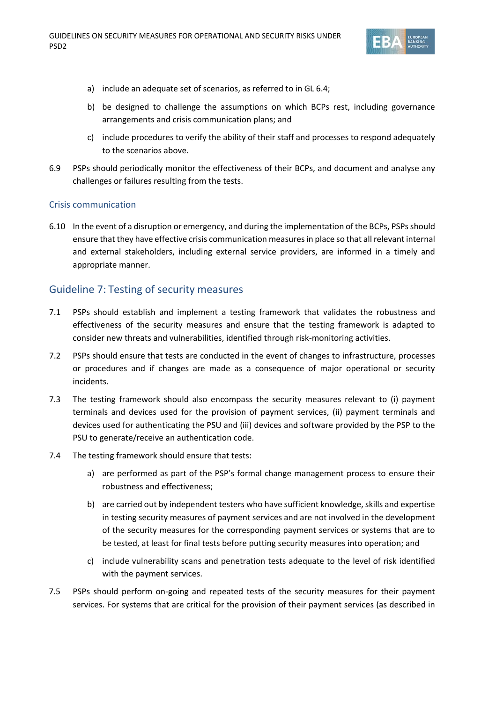

- a) include an adequate set of scenarios, as referred to in GL 6.4;
- b) be designed to challenge the assumptions on which BCPs rest, including governance arrangements and crisis communication plans; and
- c) include procedures to verify the ability of their staff and processes to respond adequately to the scenarios above.
- 6.9 PSPs should periodically monitor the effectiveness of their BCPs, and document and analyse any challenges or failures resulting from the tests.

### Crisis communication

6.10 In the event of a disruption or emergency, and during the implementation of the BCPs, PSPs should ensure that they have effective crisis communication measures in place so that all relevant internal and external stakeholders, including external service providers, are informed in a timely and appropriate manner.

## Guideline 7: Testing of security measures

- 7.1 PSPs should establish and implement a testing framework that validates the robustness and effectiveness of the security measures and ensure that the testing framework is adapted to consider new threats and vulnerabilities, identified through risk-monitoring activities.
- 7.2 PSPs should ensure that tests are conducted in the event of changes to infrastructure, processes or procedures and if changes are made as a consequence of major operational or security incidents.
- 7.3 The testing framework should also encompass the security measures relevant to (i) payment terminals and devices used for the provision of payment services, (ii) payment terminals and devices used for authenticating the PSU and (iii) devices and software provided by the PSP to the PSU to generate/receive an authentication code.
- 7.4 The testing framework should ensure that tests:
	- a) are performed as part of the PSP's formal change management process to ensure their robustness and effectiveness;
	- b) are carried out by independent testers who have sufficient knowledge, skills and expertise in testing security measures of payment services and are not involved in the development of the security measures for the corresponding payment services or systems that are to be tested, at least for final tests before putting security measures into operation; and
	- c) include vulnerability scans and penetration tests adequate to the level of risk identified with the payment services.
- 7.5 PSPs should perform on-going and repeated tests of the security measures for their payment services. For systems that are critical for the provision of their payment services (as described in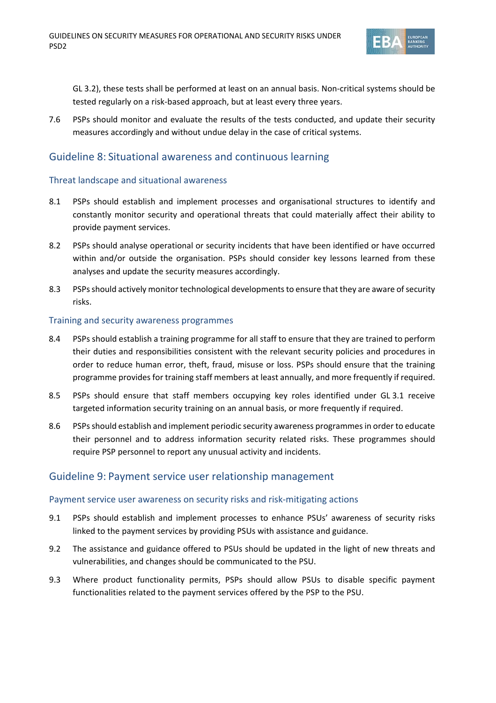

GL 3.2), these tests shall be performed at least on an annual basis. Non-critical systems should be tested regularly on a risk-based approach, but at least every three years.

7.6 PSPs should monitor and evaluate the results of the tests conducted, and update their security measures accordingly and without undue delay in the case of critical systems.

## Guideline 8: Situational awareness and continuous learning

### Threat landscape and situational awareness

- 8.1 PSPs should establish and implement processes and organisational structures to identify and constantly monitor security and operational threats that could materially affect their ability to provide payment services.
- 8.2 PSPs should analyse operational or security incidents that have been identified or have occurred within and/or outside the organisation. PSPs should consider key lessons learned from these analyses and update the security measures accordingly.
- 8.3 PSPs should actively monitor technological developments to ensure that they are aware of security risks.

#### Training and security awareness programmes

- 8.4 PSPs should establish a training programme for all staff to ensure that they are trained to perform their duties and responsibilities consistent with the relevant security policies and procedures in order to reduce human error, theft, fraud, misuse or loss. PSPs should ensure that the training programme provides for training staff members at least annually, and more frequently if required.
- 8.5 PSPs should ensure that staff members occupying key roles identified under GL 3.1 receive targeted information security training on an annual basis, or more frequently if required.
- 8.6 PSPsshould establish and implement periodic security awareness programmes in order to educate their personnel and to address information security related risks. These programmes should require PSP personnel to report any unusual activity and incidents.

## Guideline 9: Payment service user relationship management

### Payment service user awareness on security risks and risk-mitigating actions

- 9.1 PSPs should establish and implement processes to enhance PSUs' awareness of security risks linked to the payment services by providing PSUs with assistance and guidance.
- 9.2 The assistance and guidance offered to PSUs should be updated in the light of new threats and vulnerabilities, and changes should be communicated to the PSU.
- 9.3 Where product functionality permits, PSPs should allow PSUs to disable specific payment functionalities related to the payment services offered by the PSP to the PSU.